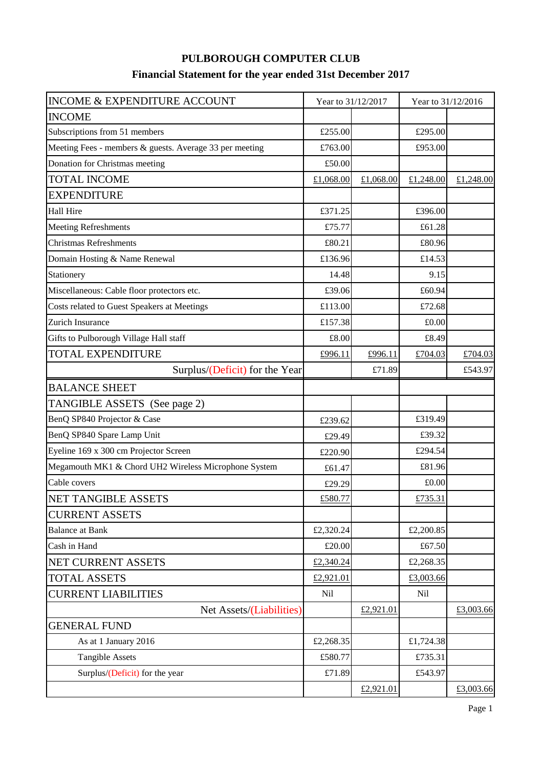## **PULBOROUGH COMPUTER CLUB Financial Statement for the year ended 31st December 2017**

| INCOME & EXPENDITURE ACCOUNT                            | Year to 31/12/2017 |           | Year to 31/12/2016 |           |
|---------------------------------------------------------|--------------------|-----------|--------------------|-----------|
| <b>INCOME</b>                                           |                    |           |                    |           |
| Subscriptions from 51 members                           | £255.00            |           | £295.00            |           |
| Meeting Fees - members & guests. Average 33 per meeting | £763.00            |           | £953.00            |           |
| Donation for Christmas meeting                          | £50.00             |           |                    |           |
| <b>TOTAL INCOME</b>                                     | £1,068.00          | £1,068.00 | £1,248.00          | £1,248.00 |
| <b>EXPENDITURE</b>                                      |                    |           |                    |           |
| <b>Hall Hire</b>                                        | £371.25            |           | £396.00            |           |
| <b>Meeting Refreshments</b>                             | £75.77             |           | £61.28             |           |
| <b>Christmas Refreshments</b>                           | £80.21             |           | £80.96             |           |
| Domain Hosting & Name Renewal                           | £136.96            |           | £14.53             |           |
| Stationery                                              | 14.48              |           | 9.15               |           |
| Miscellaneous: Cable floor protectors etc.              | £39.06             |           | £60.94             |           |
| Costs related to Guest Speakers at Meetings             | £113.00            |           | £72.68             |           |
| Zurich Insurance                                        | £157.38            |           | £0.00              |           |
| Gifts to Pulborough Village Hall staff                  | £8.00              |           | £8.49              |           |
| <b>TOTAL EXPENDITURE</b>                                | £996.11            | £996.11   | £704.03            | £704.03   |
| Surplus/(Deficit) for the Year                          |                    | £71.89    |                    | £543.97   |
| <b>BALANCE SHEET</b>                                    |                    |           |                    |           |
| TANGIBLE ASSETS (See page 2)                            |                    |           |                    |           |
| BenQ SP840 Projector & Case                             | £239.62            |           | £319.49            |           |
| BenQ SP840 Spare Lamp Unit                              | £29.49             |           | £39.32             |           |
| Eyeline 169 x 300 cm Projector Screen                   | £220.90            |           | £294.54            |           |
| Megamouth MK1 & Chord UH2 Wireless Microphone System    | £61.47             |           | £81.96             |           |
| Cable covers                                            | £29.29             |           | £0.00              |           |
| NET TANGIBLE ASSETS                                     | £580.77            |           | £735.31            |           |
| <b>CURRENT ASSETS</b>                                   |                    |           |                    |           |
| <b>Balance at Bank</b>                                  | £2,320.24          |           | £2,200.85          |           |
| Cash in Hand                                            | £20.00             |           | £67.50             |           |
| NET CURRENT ASSETS                                      | £2,340.24          |           | £2,268.35          |           |
| <b>TOTAL ASSETS</b>                                     | £2,921.01          |           | £3,003.66          |           |
| <b>CURRENT LIABILITIES</b>                              | <b>Nil</b>         |           | <b>Nil</b>         |           |
| Net Assets/(Liabilities)                                |                    | £2,921.01 |                    | £3,003.66 |
| <b>GENERAL FUND</b>                                     |                    |           |                    |           |
| As at 1 January 2016                                    | £2,268.35          |           | £1,724.38          |           |
| <b>Tangible Assets</b>                                  | £580.77            |           | £735.31            |           |
| Surplus/(Deficit) for the year                          | £71.89             |           | £543.97            |           |
|                                                         |                    | £2,921.01 |                    | £3,003.66 |